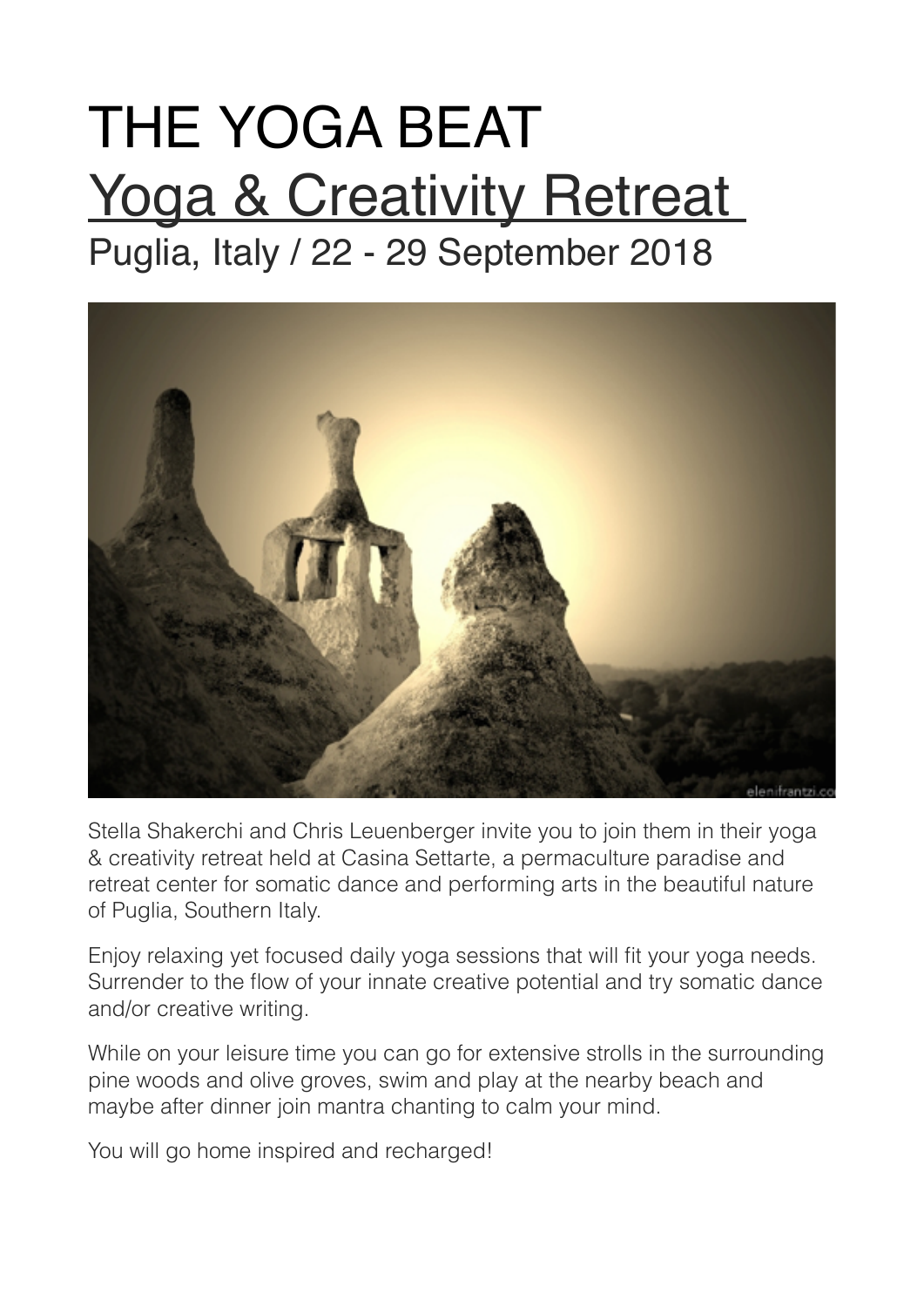# THE YOGA BEAT **Yoga & Creativity Retreat** Puglia, Italy / 22 - 29 September 2018



Stella Shakerchi and Chris Leuenberger invite you to join them in their yoga & creativity retreat held at Casina Settarte, a permaculture paradise and retreat center for somatic dance and performing arts in the beautiful nature of Puglia, Southern Italy.

Enjoy relaxing yet focused daily yoga sessions that will fit your yoga needs. Surrender to the flow of your innate creative potential and try somatic dance and/or creative writing.

While on your leisure time you can go for extensive strolls in the surrounding pine woods and olive groves, swim and play at the nearby beach and maybe after dinner join mantra chanting to calm your mind.

You will go home inspired and recharged!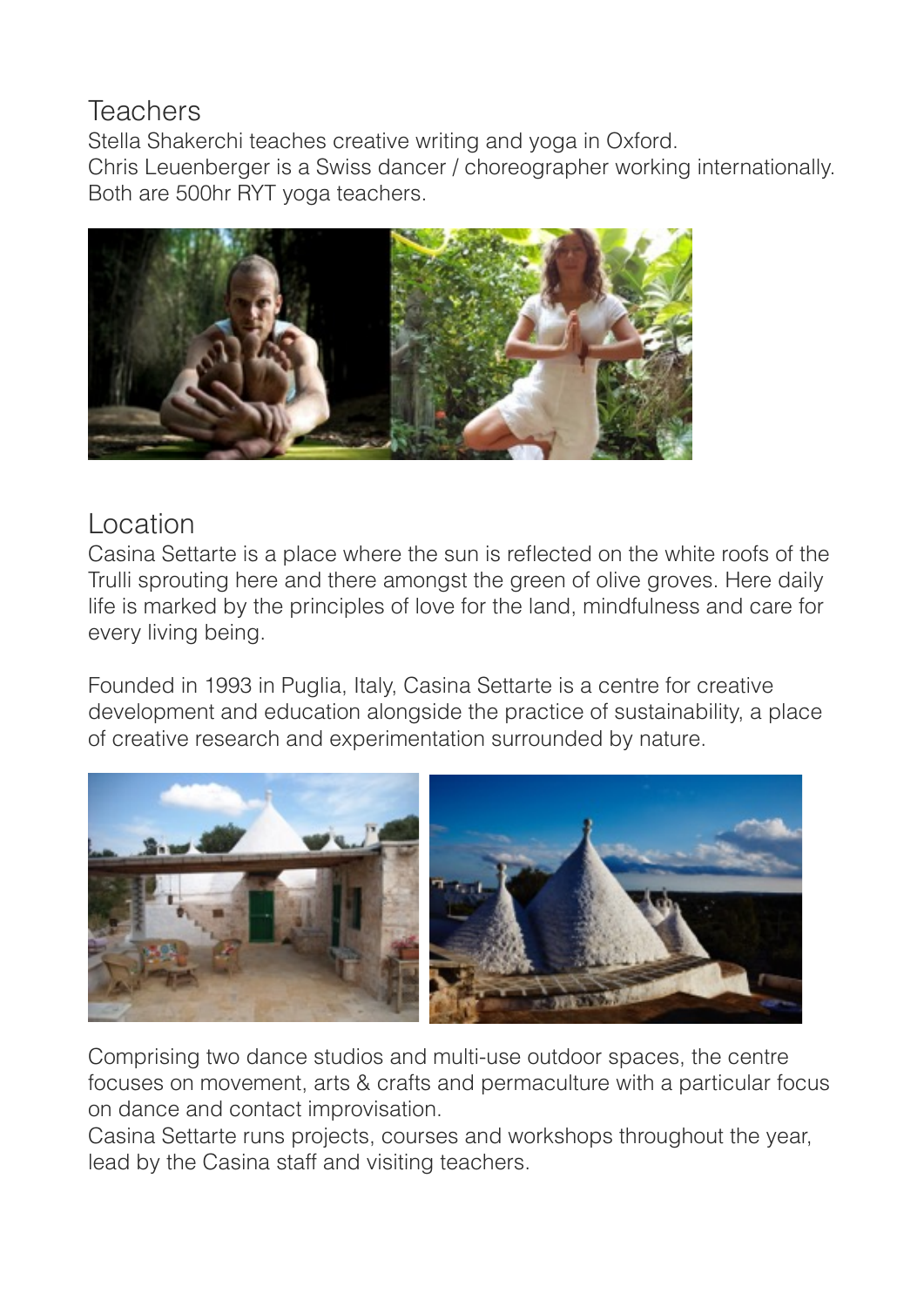#### **Teachers**

Stella Shakerchi teaches creative writing and yoga in Oxford. Chris Leuenberger is a Swiss dancer / choreographer working internationally. Both are 500hr RYT yoga teachers.



#### Location

Casina Settarte is a place where the sun is reflected on the white roofs of the Trulli sprouting here and there amongst the green of olive groves. Here daily life is marked by the principles of love for the land, mindfulness and care for every living being.

Founded in 1993 in Puglia, Italy, Casina Settarte is a centre for creative development and education alongside the practice of sustainability, a place of creative research and experimentation surrounded by nature.



Comprising two dance studios and multi-use outdoor spaces, the centre focuses on movement, arts & crafts and permaculture with a particular focus on dance and contact improvisation.

Casina Settarte runs projects, courses and workshops throughout the year, lead by the Casina staff and visiting teachers.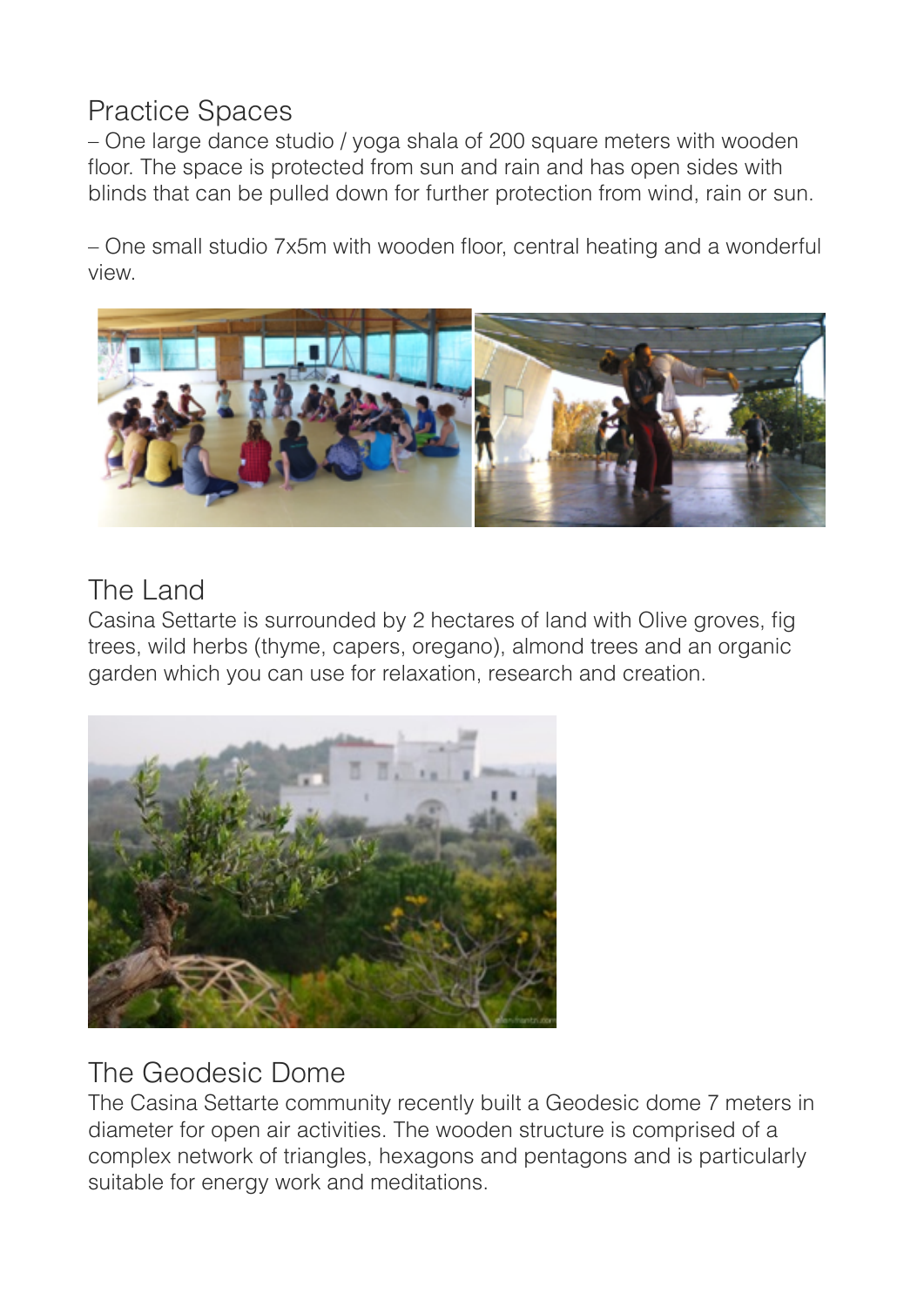### Practice Spaces

– One large dance studio / yoga shala of 200 square meters with wooden floor. The space is protected from sun and rain and has open sides with blinds that can be pulled down for further protection from wind, rain or sun.

– One small studio 7x5m with wooden floor, central heating and a wonderful view.



## The Land

Casina Settarte is surrounded by 2 hectares of land with Olive groves, fig trees, wild herbs (thyme, capers, oregano), almond trees and an organic garden which you can use for relaxation, research and creation.



# The Geodesic Dome

The Casina Settarte community recently built a Geodesic dome 7 meters in diameter for open air activities. The wooden structure is comprised of a complex network of triangles, hexagons and pentagons and is particularly suitable for energy work and meditations.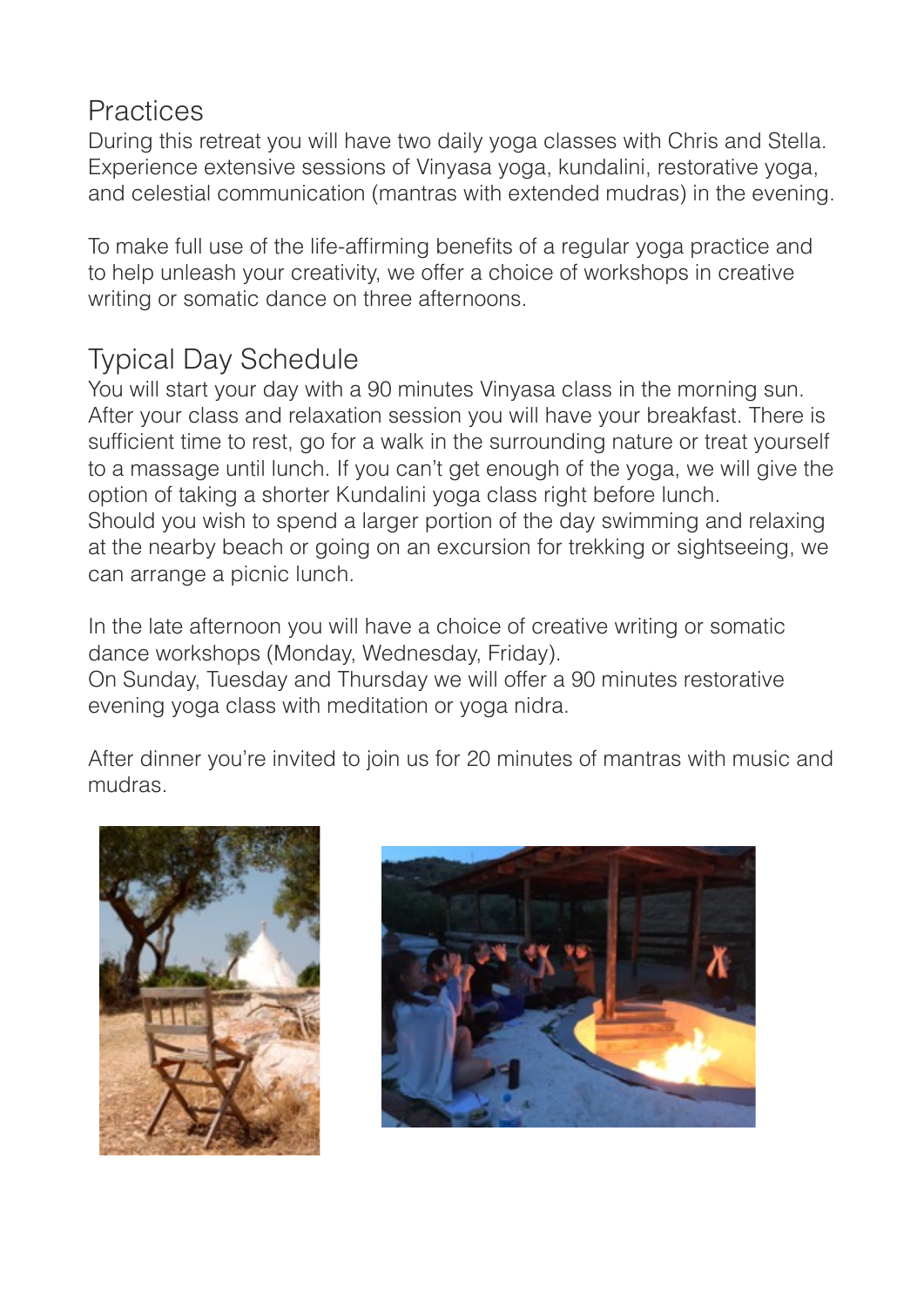#### **Practices**

During this retreat you will have two daily yoga classes with Chris and Stella. Experience extensive sessions of Vinyasa yoga, kundalini, restorative yoga, and celestial communication (mantras with extended mudras) in the evening.

To make full use of the life-affirming benefits of a regular yoga practice and to help unleash your creativity, we offer a choice of workshops in creative writing or somatic dance on three afternoons.

# Typical Day Schedule

You will start your day with a 90 minutes Vinyasa class in the morning sun. After your class and relaxation session you will have your breakfast. There is sufficient time to rest, go for a walk in the surrounding nature or treat yourself to a massage until lunch. If you can't get enough of the yoga, we will give the option of taking a shorter Kundalini yoga class right before lunch. Should you wish to spend a larger portion of the day swimming and relaxing at the nearby beach or going on an excursion for trekking or sightseeing, we can arrange a picnic lunch.

In the late afternoon you will have a choice of creative writing or somatic dance workshops (Monday, Wednesday, Friday).

On Sunday, Tuesday and Thursday we will offer a 90 minutes restorative evening yoga class with meditation or yoga nidra.

After dinner you're invited to join us for 20 minutes of mantras with music and mudras.



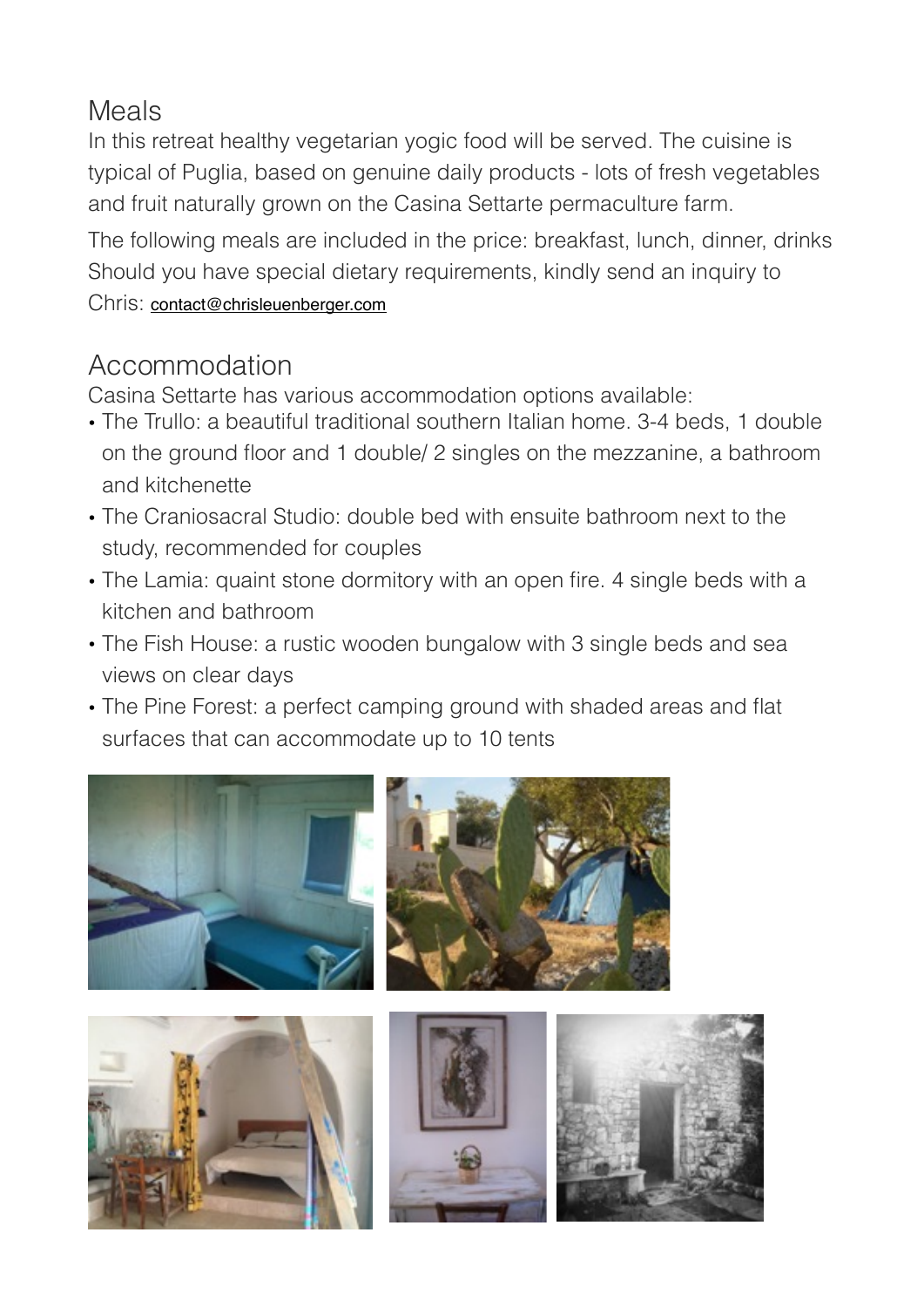#### Meals

In this retreat healthy vegetarian yogic food will be served. The cuisine is typical of Puglia, based on genuine daily products - lots of fresh vegetables and fruit naturally grown on the Casina Settarte permaculture farm.

The following meals are included in the price: breakfast, lunch, dinner, drinks Should you have special dietary requirements, kindly send an inquiry to Chris: [contact@chrisleuenberger.com](mailto:contact@chrisleuenberger.com)

## Accommodation

Casina Settarte has various accommodation options available:

- The Trullo: a beautiful traditional southern Italian home. 3-4 beds, 1 double on the ground floor and 1 double/ 2 singles on the mezzanine, a bathroom and kitchenette
- The Craniosacral Studio: double bed with ensuite bathroom next to the study, recommended for couples
- The Lamia: quaint stone dormitory with an open fire. 4 single beds with a kitchen and bathroom
- The Fish House: a rustic wooden bungalow with 3 single beds and sea views on clear days
- The Pine Forest: a perfect camping ground with shaded areas and flat surfaces that can accommodate up to 10 tents

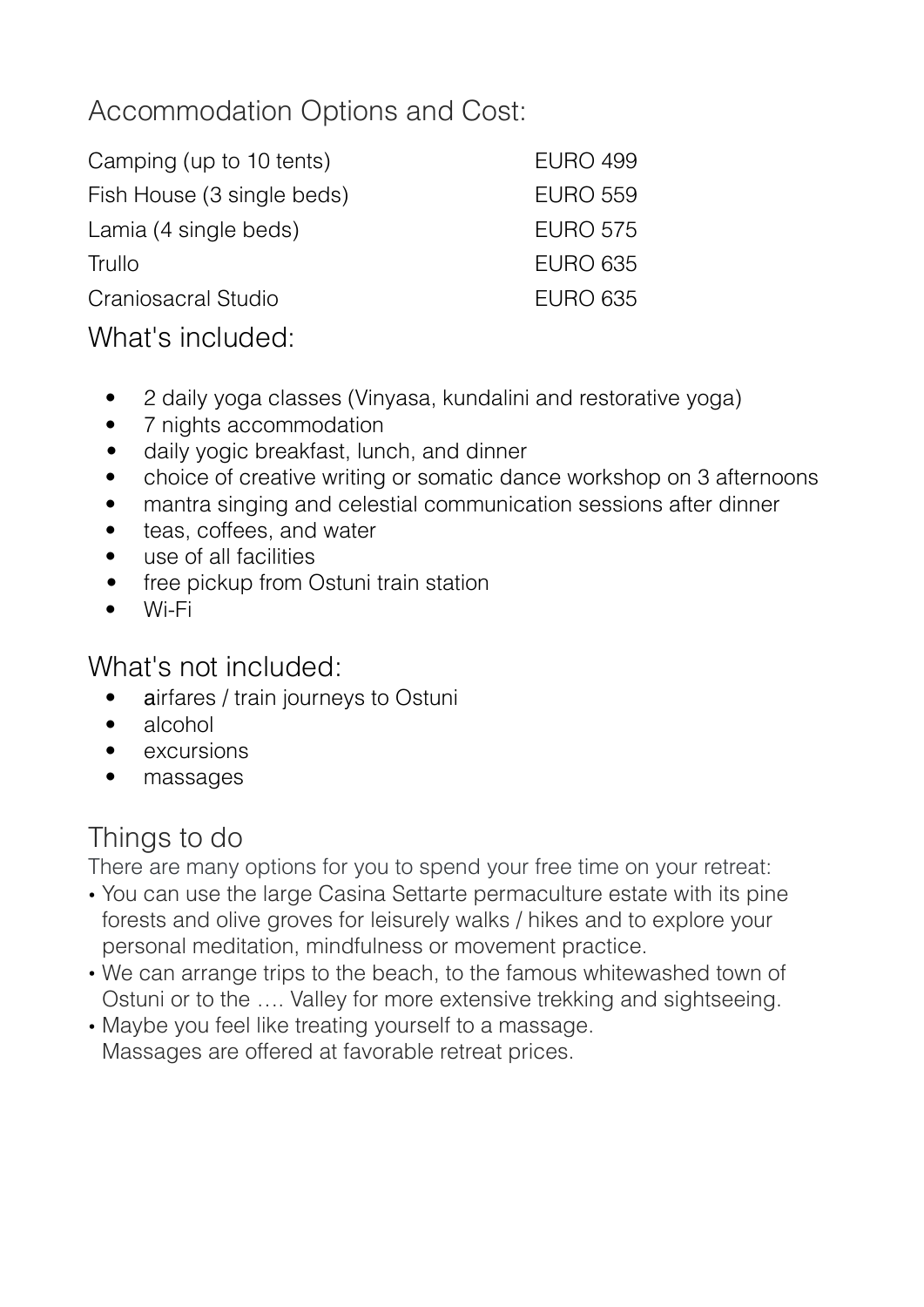## Accommodation Options and Cost:

| Camping (up to 10 tents)   | <b>EURO 499</b> |
|----------------------------|-----------------|
| Fish House (3 single beds) | <b>EURO 559</b> |
| Lamia (4 single beds)      | <b>EURO 575</b> |
| Trullo                     | <b>EURO 635</b> |
| Craniosacral Studio        | <b>EURO 635</b> |
| What's included:           |                 |

- 2 daily yoga classes (Vinyasa, kundalini and restorative yoga)
- 7 nights accommodation
- daily yogic breakfast, lunch, and dinner
- choice of creative writing or somatic dance workshop on 3 afternoons
- mantra singing and celestial communication sessions after dinner
- teas, coffees, and water
- use of all facilities
- free pickup from Ostuni train station
- Wi-Fi

What's not included:

- airfares / train journeys to Ostuni
- alcohol
- **excursions**
- massages

# Things to do

There are many options for you to spend your free time on your retreat:

- You can use the large Casina Settarte permaculture estate with its pine forests and olive groves for leisurely walks / hikes and to explore your personal meditation, mindfulness or movement practice.
- We can arrange trips to the beach, to the famous whitewashed town of Ostuni or to the …. Valley for more extensive trekking and sightseeing.
- Maybe you feel like treating yourself to a massage. Massages are offered at favorable retreat prices.